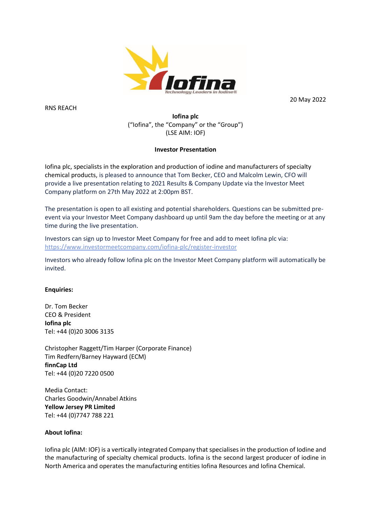

RNS REACH

20 May 2022

# **Iofina plc** ("Iofina", the "Company" or the "Group") (LSE AIM: IOF)

# **Investor Presentation**

Iofina plc, specialists in the exploration and production of iodine and manufacturers of specialty chemical products, is pleased to announce that Tom Becker, CEO and Malcolm Lewin, CFO will provide a live presentation relating to 2021 Results & Company Update via the Investor Meet Company platform on 27th May 2022 at 2:00pm BST.

The presentation is open to all existing and potential shareholders. Questions can be submitted preevent via your Investor Meet Company dashboard up until 9am the day before the meeting or at any time during the live presentation.

Investors can sign up to Investor Meet Company for free and add to meet Iofina plc via: <https://www.investormeetcompany.com/iofina-plc/register-investor>

Investors who already follow Iofina plc on the Investor Meet Company platform will automatically be invited.

# **Enquiries:**

Dr. Tom Becker CEO & President **Iofina plc** Tel: +44 (0)20 3006 3135

Christopher Raggett/Tim Harper (Corporate Finance) Tim Redfern/Barney Hayward (ECM) **finnCap Ltd** Tel: +44 (0)20 7220 0500

Media Contact: Charles Goodwin/Annabel Atkins **Yellow Jersey PR Limited** Tel: +44 (0)7747 788 221

### **About Iofina:**

Iofina plc (AIM: IOF) is a vertically integrated Company that specialises in the production of Iodine and the manufacturing of specialty chemical products. Iofina is the second largest producer of iodine in North America and operates the manufacturing entities Iofina Resources and Iofina Chemical.